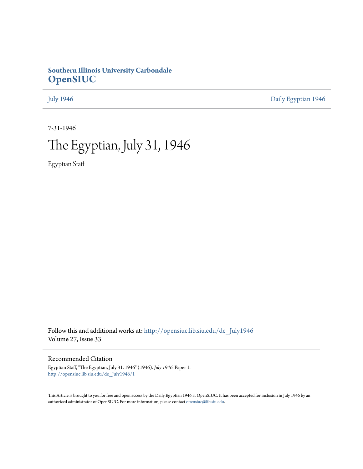# **Southern Illinois University Carbondale [OpenSIUC](http://opensiuc.lib.siu.edu?utm_source=opensiuc.lib.siu.edu%2Fde_July1946%2F1&utm_medium=PDF&utm_campaign=PDFCoverPages)**

[July 1946](http://opensiuc.lib.siu.edu/de_July1946?utm_source=opensiuc.lib.siu.edu%2Fde_July1946%2F1&utm_medium=PDF&utm_campaign=PDFCoverPages) [Daily Egyptian 1946](http://opensiuc.lib.siu.edu/de_1946?utm_source=opensiuc.lib.siu.edu%2Fde_July1946%2F1&utm_medium=PDF&utm_campaign=PDFCoverPages)

7-31-1946

# The Egyptian, July 31, 1946

Egyptian Staff

Follow this and additional works at: [http://opensiuc.lib.siu.edu/de\\_July1946](http://opensiuc.lib.siu.edu/de_July1946?utm_source=opensiuc.lib.siu.edu%2Fde_July1946%2F1&utm_medium=PDF&utm_campaign=PDFCoverPages) Volume 27, Issue 33

Recommended Citation

Egyptian Staff, "The Egyptian, July 31, 1946" (1946). *July 1946.* Paper 1. [http://opensiuc.lib.siu.edu/de\\_July1946/1](http://opensiuc.lib.siu.edu/de_July1946/1?utm_source=opensiuc.lib.siu.edu%2Fde_July1946%2F1&utm_medium=PDF&utm_campaign=PDFCoverPages)

This Article is brought to you for free and open access by the Daily Egyptian 1946 at OpenSIUC. It has been accepted for inclusion in July 1946 by an authorized administrator of OpenSIUC. For more information, please contact [opensiuc@lib.siu.edu](mailto:opensiuc@lib.siu.edu).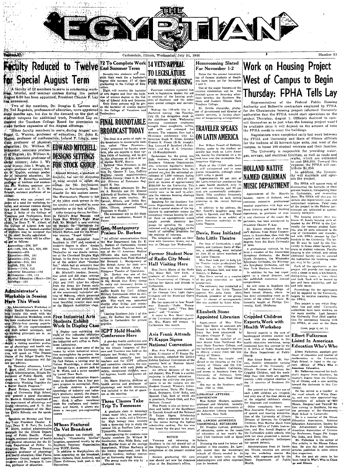

**Exculty Reduced to Twelve Fad Summer Term 14 VETS APPEAL** for Special August Term

A faculty of 12 members to serve in conducting work there, tutorial, and seminar courses during the period has announced.

mented the Teachers College Board for permission to FINAL ROUNDTABLE make further expansion of the August offerings.

"Other faculty members to serve during August are<br>Fount G. Warren, professor of education; Dr. John R.<br>Mayor, professor of mathematics; Leland P. Lingle, assn

or of English; Dr. William A. DESIGNS SETTINGS Appear of the second of the second of the second of the second second in the second of the second of the second of the second of the second of the second of the second of the second of the second of the second of the secon sor of industrial education; Dr.<br>Reynomed W. Esworthy, assistant<br>profession of business and econom-<br>imp; Ben Watkins, assistant pro-<br>fessor of art; and Dr. E. C. Me<br>hoppin, assistant professor of so-<br>holder.

Students who can present evi-<br>geiges of a need for workshop, the depth of the special steps and the<br>property and seminar courses during the property. Then of the College of<br> $\sqrt{2}$  of the college of  $\sqrt{2}$  of the college Stirdents who can present evi-

Accounting-206, 207<br>Art-100, 250, 251, 252, 360 Economics-205<br>Education-206, 501<br>Education-310, 331<br>Education-315, 501

Equestion-215, 501<br>
Higher 110A, 212<br>
Higher 110A, 212<br>
Higher 110A, 212<br>
Higher 1106, 113<br>
Maximentics -106, 113<br>
Supplied Education (Men)-256<br>
Supplied 111

# Administrator's Warkship in Session **Here This Week**

An Administrator's Workshop in : An Administrator's Workshop in<br>Replicible Results and School in the second specific Higher School and Higher School and Higher School and Higher School and the summary specifical and the summary of the summary of the sec

morning Dr. Eleanore Aldwhich is viriting associate professional polynomial and the capture referred and the University this sample, will speak on "The Present Singar," Panel discussions will following the present of the property and the speakin a visiting associate profe

responsive Time School and the conditional conditional properties of Paper Bridges, instructor and Paper Bridges of University High School,  $\mathbf{H}$  present a panel discussion;  $\mathbf{H}$ , Marrie-A. Hinrichs, chairman of the experiment of physiology and<br>
intervalse in the physiology and<br>
department of physiology and<br>
departments of the Mar-<br>
philic Schools, are the speak-

Speakers on Monday and Tue Speakers on Monday and Tues-<br>
y-Ager President Chester F.<br>
y-Were President Chester F.<br>
Apply, medical administrative<br>
signatic for the Illinois Depart-<br>
est of Public Health; Foster<br>
est of Public Health; Foster<br>
differen physical education for the Ill of physical education for the life<br>
in Department of Public In-<br>
rigition; Miss Florence Denny,<br>
signation for the Section of Public In-<br>
rigition for the Piece,<br>
identified County school superinterion,<br>
respective County

essen professor of physical contract the comparation of physical contract of physical contract of physical contract of physical contract of physical contract of physical contract of the second profess-

**FOR STOCK GROUP FOR: STOCK (ROUP)**  $\begin{bmatrix} 1 & 0 & 0 \\ 0 & 0 & 0 \\ 0 & 0 & 0 \\ 0 & 0 & 0 \\ 0 & 0 & 0 \\ 0 & 0 & 0 \\ 0 & 0 & 0 \\ 0 & 0 & 0 \\ 0 & 0 & 0 \\ 0 & 0 & 0 \\ 0 & 0 & 0 \\ 0 & 0 & 0 \\ 0 & 0 & 0 \\ 0 & 0 & 0 \\ 0 & 0 & 0 \\ 0 & 0 & 0 \\ 0 & 0 & 0 \\ 0 & 0 & 0 \\ 0 & 0 & 0 \\ 0 & 0 & 0 \\ 0 & 0 & 0 \\ 0 & 0$ 

authorities as the best of them.<br>  $A$  for designing the set for Glen-<br>  $A$  for designing the set for Glen-<br>  $\Delta a$  in Sarrelly Brief Montes and Danis Land Brief Matter and Danis Land Brief Matter<br>  $\Omega$  in the design of the

way success, "Angel street."<br>Mr. Michell graduated from<br>Southern in 1937 and received a<br>master's degree in seerc, design<br>from the University of Toward<br>Thereafter he was drama instructor at the Cloveland Heights High School. In the Army he was direct

or a the concentration of the solution of the same in the Army be was directed as the solution of Germany, Prance, and Belgium.<br>The solution of the solution of the solution of the solution of the solution of the solution

Eive Industrial Arts<br>Students Exhibit Work In Display Case

A display care exhibiting the **CPT Hold Health**<br>students has been set up with a students has been set up withden<br>students has been set up withden **Conference** Here<br>the industrial arts office in Park-<br>has a pne-day health c

inson Laboratory.<br>Attempting to show some of the neans by which industrial educa-<br>tion accomplishes its purpose, the<br>display includes a eigenette server Fion accomplishes its purpose, the<br>display includes a eigenstite every by Carl Nelson, a serving tray by<br>by Varlam Wooldridge, a silver check<br>by Poly Ronald Coon, a planer jack by<br> $\mathbf{J}$ , W. Webb, and a serve mandrel<br>by

 $[$  pesa program to accomplish. First,<br> $a^2$  in throubs statents a general involved ge of industry and industries<br>in the department of the department of the department rains industrial arts teen-<br>terms: third, it offers . ment at Southern has a four put



Seventy-two students will com-<br>plete their work for a bachelor's<br>degree this summer, 57 of them<br>graduating in the College of Edu-<br>con-Eight will receive the bachel

Fight will receive the bacheton<br>of arts degree and four the bach-<br>elor of science degree in the Col-<br>lege of Liberal Arts and Sciences

Gen. Montgomery

# Praises Dr. Borken

An official communication from P. An official communication from<br>the War Department lists Dr. E.<br>L. Borkon of Carbondale, former<br>student Heath Physician here, as<br>one of the 13 American Medical<br>officiers who have received a<br>communication from Field Mars To Book and of this case of this gives the compact of the British 21st Army Group of other the total control to carry duties in public control of the particular properties and public heat of the particular of the same cont

ed.<br>Eaving Southern July 1 of this<br>year, Dr. Borkon has opened an<br>office in Carbondale for private praetice.

# A one-day health conference ar

school of instruction sponsored<br>by the Illinois Congress of Parents and Teachers was held on the

ents and 'leasters' was feet on<br>campus last Friday, July 26.<br>Conducted annually here for<br>capacities and for 1CPT officers<br>and committee chairmen, the con-<br>ference deal with such fields as<br>safety, exceptional childpen, men-

car hysiene, means and professor of health service and professor of health service and professor of ghysiology and health education, was included in the list of speakat the meeting.  $er<sub>s</sub>$ 

# Three Classes Take Trip To Tennessee

a graduate class in limnology<br>(fresh water life), an undergraduate class in limnology<br>(fresh water life), an undergraduate to the street of the street of<br>the attendance in the street of the street of the street<br>potential l

NALL THE AFT VERTIRES (Tiptonville, Tennessee.<br>
Similar State of Miniphono was featured only by the feature of Similar State of Similar State (Similar M. Theoretical State of the Similar State (Similar State of the Similar

# **TO LEGISLATURE** FOR MORE HOUSING Fourteen veterans appealed last

to lominative leaders for air week to legislative leaders for aid<br>in solution of the housing problems of Southern and the other<br>state owned colleges and univers-

ities.<br>Making the 169-mile trip in a nature moving van Tuesday,<br>July 23, the delegation slept on<br>the statchouse lawn. Wednesday<br>morning statehouse employees

FINAL ROUNDTABLE Julia statebox sign, we detection sign, while the continue of the statebox sign, we can be seen to a final in a series of sight me of the statebox sign, we are the statebox sign, of  $\mathbb{R}^n$ . The final

islature to appropriate money for emergency veteran housing be call  $\frac{1}{2}$  an ap<br>provide<br>for ed. Such an appropriation would simply statutory lan-<br>ing the money

samply provide statutory lan-<br>graphs to energy collected and to be collected as the<br>result of operating programs for<br>the training of voterans.<br>The delegation sought an inter-

view with Governor Green, but he<br>was in Chicago last Wednesday.

## Former Student Now of Radio City Music **Hall Visiting Here**

A ANALL THE MISS THE MISS POINT MISS DOTE AND SET CHARGE THAT A SET AND A SET AND A SET AND A SET AND A SET AND A SURVEY OF CHEAR ON SURVEY AND USE THAT A SURVEY AND SET AND SURVEY AND SURVEY AND A SURVEY AND A SURVEY AND

Carbondale.<br>Miss Moore is a former member<br>of the Chicago Civic Light Opera<br>Company and the Municipal Opera of St. Louis.<br>She has appeared in four Broad

way Musicals-"Sadie Thompsons," "Great Lady," "Two Bouquets," and "Virginia."<br>A sister to Mrs. Hazel Jarrett

A sister to historized and<br>of the University duplicating is<br>ice, Miss Moore will remain<br>Carbondale this month.

# **Avis Frank Attends** Pi Kappa Sigma

# **National Convention**

Miss Avis Frank, president of<br>Alpha Xi chapter of Pi Kappa Six-<br>ma Sorority, attended the Golden<br>Jubilee National Convention of the<br>sorority held at Macinae Island, Michigan, last week.<br>An official delegate of the lo-<br>cal chapter, Miss Frank is a senior,

cal chapter, Miss Frank is a senior,<br>miss and capturing in physical education.<br>Among the activities she particular<br>to juntos in on the campus are the<br>Student Council, Worner's Athlet-<br>is Student Council, Worner's Athlet<br>Ea

Hellenic Council.<br>Miss Frank is also an honor student and holder of the Excellence in Spanish Award and the National<br>Pi Kappa Sigma Scholarship Fi Kappa Sigma Scribial Ring, which is mwarded to the giving<br>in the nation having the highest<br>scholarship ranking. She has won<br>this honor for the past two years.

# **NOTICE**

Veterans not returning to<br>Southern in the fall should call at

# **Homecoming Slated** For November 1-2 Dates for the annual homecor

vates for the annual homecom<br>ng of former students at South<br>ern have been set for November<br>and 2. One of the major features of the

one of the major teachers of the theorem celebration will be the<br>football game on Saturday after-<br>noon between the Southern Ma-<br>roons and Eastern Illinois State<br>Teachers College.

Teachers Conge.<br>Dr. Orville Alexander, profes-<br>sor of government and director of<br>alumni services, is faculty chairman of homecoming arrangements

revolt. ``<br>| In addition to his address, the<br>|Rev. Fowell's daughter sang two<br>|songs in Spanish, and Mrs. Powell<br>|called uttention to an exhibit of<br>|Lattn American materials in the<br>Little Theatre. President Chester F. Lay.<br>  $\text{Dr. Kener}$  chuind the mas-<br>  $\text{tor}^2$  diploma from Royal Conserv-<br>
story in Amsterdam, then took the<br>
master's and doctor of philosophy<br>
degrees from the State University

### Davis, Rose Initiated Into Little Theatre

THE CHECK THE CHECK THE CHECK CHECK ON THE CONTROL CONTROL CONTROL CONTROL CONTROL CONTROL CONTROL CHECK CHECK CHECK CHECK CHECK CHECK CHECK CHECK CHECK CHECK CHECK CHECK CHECK CHECK CHECK CHECK CHECK CHECK CHECK CHECK CH

olis Symphony Orchestra, and the<br>New York Stadium Orchestra.

a Roberts in Rebecca.<br>he | Miss Davis served as a membe  $\frac{1}{\pi}$  of the prop committee on<br>in productions.

productions.<br>
The extremony was conducted at the home of the Little Theatre<br>
sponsor, Mrs. Julia Neely. Neva,<br>
Woolard, president of the group,<br>
was in charge of arrangements.<br>
She was assisted by Katie Alley.

### Elizabeth Stone **Appointed Librarian**

Appointment of Miss Eliza-<br>
Appointment of Miss Eliza-<br>
beth Opal Stone as assistant pro-<br>
respons to work in the Wheeler U-<br>
Ster books the backed<br>
one of sci-<br>
She holds the backed of sci-<br>
one degree from Northwest Mis-

ence degree from Northwest Mis-<br>couri State Teachers College, and<br>the bachelor's and master's degrees<br>in library science from the Uni-<br>versity of Illinois.<br>Miss Stone has taught and<br>sixed in the Hinterics at the Uni-<br>sixed

Health. Miss Grace Borah of Mt. Vernon, district orthopedic nursing<br>Inconsultant of the University of<br>Illinois Division of Services for<br>Crippled Children, told the worksolven in the fourth of the Uni-<br>versity of Ellihoos and the Uni-<br>versity of Southern California,<br>and comes to Southern from the<br>University of Dubuque, Iowa,<br>where she has been head librarshop class that there are approximately 1,500 crippled children in<br>the 16 counties of Southern Illi-

ian.<br>She was on the Southern staff<br>from 1929 to 1936.

LIBRARIAN ATTENDS<br>
CONVENTION<br>
Miss Esther Shubert, assistant<br>
professor and librarian, recently<br>
attended the annual convention of the American Library Association<br>in Buffalo, New York.

DR. LAWSON ADDRESSES<br>
CARBONDALE ROTARIANS<br>
Dr. Douglas Lawson, professor<br>
of education, space on the needs<br>
of education at last week's Ro-<br>
tary Club luncheon held at Hotel<br>
Britann Roberts.

For diagnosis and treatment. The resulting in Schools are the Michael Michael Michael Michael Michael Michael Michael Michael Michael Michael Michael Michael Michael Michael Michael Michael Michael Michael Michael Michael Stressing the need for better ed-Southern in the Registrar's office before the lucation in this country, Dr. Law and ministrators from 34 Southern Header and the Registrar's office before the lucation in this country, Dr. Law and ministrators from 34 Sou

# Work on Housing Project West of Campus to Begin Thursday: FPHA Tells Lay

Representatives of the Federal Public Housing Authority and Belleville contractors employed by FPH/ for the Chautauqua housing project informed University<br>authorities that the FPHA would start operations on the aroncer Thursday, August 1. Officials declined to com-<br>mit themselves as to just when the housing project would the available since it will depend on the amount of time<br>the FPHA needs to erect the buildings.

Negotiations were completed early last week betwee: regularized by the FPHA and University and State of Illinois officials<br>for the location of 35 barrack-type units, just west of the campus, to house 105 student veterans and their families. reampus, to house 105 student veterans and their ramines.<br>
The University is responsible for providing water,<br>
Take University is responsed for providing water,<br>  $\begin{bmatrix}\n\text{walks, which are estimated as in the image, and electrical facilities, as well as roads and  
\n $\begin{bmatrix}\n\text{walks, which are estimated from a 10$$ 

**MUSIC DEPARTMENT** 

ic and chairman of the music de-

partment, has been announced by

President Chester F. Lay.

of Jowa

compositions.

Crippled Children

Experts, Work with

Several experts in the care of handicapped children worked last<br>week with the students in the polarity of the fourth ductation works<br>hop, being conducted here this summer by the U.S. Office of Public Health<br>the State Depu

the State Department of Public

She pointed out that four out of<br>each 1,000 children are crippled,<br>and only one of the four shows up

at the crippled children's clinics

for diagnosis and treatment.

....<br>nois

**Health Workshop** 

Number 33

The FPHA will assume costs of **MUSIC DEPARTMENT** discounting the burstness at their Appointment of Dr. Maurite present location, transporting then Keppointment of Dr. Maurite present location, and recenter  $\kappa$  and  $\kappa$  is the senor, native of Holla

imately \$262,900.<br>The housing project here em-<br>braces 85 family housing units allowing the University Jornal by the PPHA to the University Jornalistic family<br>alles, plus 20 units allocated to the<br>little of Catchoodie and ter 20 may be used by the Uni-<br>versity to house either faculty vetof 169. A professional violiniat, he has egrans or student veternas. Faculty vector a member of the Amsterdam housing is also critical, and unless proposed in the Royal and the Southern control of the Royal and the Royal a

the instruction for incoming veter-<br>and may be hampered.<br>Each of the apartments in the<br>project will provide two bedreoms new for statutum orcustate. project will provide two hedrom;<br>In addition he has had exper- with a closet in each a kitchenette<br>Lience as a choral director, and dining-living room, a linen close<br>has published numerous music close) gas and have electricity, and ho

compoutions.<br>
The will come to Southern this<br>
fall from Augustana College at<br>
Rock laiand, Illinois, where he<br>
has done outstanding work as di-<br>
rector of the school of music. He<br>
formerly taught at Phillips University, En Furnishings for the apartments<br>Furnishings for the apartments<br>ill be supplied by the University,<br>largely by surplus materials from<br>the FPHA. This project is one which Fresh<br>ident Lay and other University<br>authorities have been working on<br>for many months. Last January<br>the University first filed applica-

tion for emergency housing with<br>the FPHA, as soon as the State

(cont. page 4, col. 5)

**Elbert Fulkerson** 

Listed In American

Education Who's Who

Elbert Fulkerson, assistant pro-<br>
Elbert Fulkerson, assistant pro-<br>
Tessor of education and teacher of<br>
mathematics in the University<br>
rent edition of Who's Who is<br>
American Education.<br>
Mr. Fulkerson received his bach-<br>
Mr

express from Southern, his<br>master's degree from Southern, his<br>master's degree from the Univers-<br>ity of Illinois, and is now working

ward the doctorate in this Un

toward the doctorate in this University<br>
Fig. b. The served as a teacher in<br>
the rural schools of White County, and was later appointed supported<br>
ty, and was later appointed supported in the content<br>
centered of schools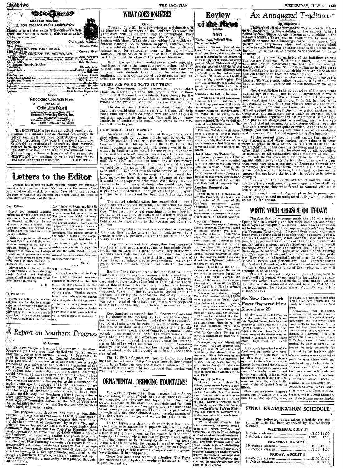# **TECNE THANK CHARTER MEMBER** ILLINOIS COLLEGE PRESS ASSOCIATION )<br>Ditered as second class matter in the University of Prose-<br>affles, under the Act of March 3, 1879. Printed weekly<br>during the school year. Enimar Catherine Sullivan How Editor Curtin, Pixley, Schuerz, Carl Charles Miller<br>Editor Charles Miller<br>Editor Charles Miller<br>Editor Schuerz, Schuerz, Carr, Kenneth Grant<br>Philip Schue, Kirkpatrick, Pilt, Pulkerson, Carr, Kenneth Grant<br>Philip Schue, Sports Editor<br>Ar Juckson, Melvin, Swisher.<br>Cartoonist<br>Photographers Vihesite Ashal<br>lorine Schhaster<br>Jim Williams<br>Vickers, Hinkle<br>maxime Etheria<br>Bob Elackman<br>Davis, Sisk Theofreedors<br>BUSINESS MANAGER<br>Advirining Manager

.........Dayis, Sisk<br>Betty Bramlet...<br>uneth Van Lente erațery<br>erațery<br>(slness Advisor Dr. Kenneth Van<br>Miss Lorena Drug Menber **Associated Collegiate Press** 

Distributor Collegiale Digest The statement of the Microsoft Adventure of the Microsoft Advertising Service, Inc.<br>Collage Publishers Representative<br>and Collage Publishers Representative<br>Circula + Barra + to assists + the Tableton

The EGYPTIAN is the student-edited weekly publication of Southern Illinois Normal University. Its editor and staff velcome contributions from all space systems of the state of the state of the state of the state of the st

Letters to the Editor

Through this column we invite students, faculty, and friends of Southern to express your ideas. We must know the source of any article, but we will withhold your name if you wish it, and we retain the right to withhold any

Far, I have not found anything it.<br>  $\left\{\text{2.4.5}\right\}$  (for a model suddenly larger about it. Also the editor has<br>
in the Movie-Sing larger propertied sense of humor.<br>
It were, which was held in front of elabeles to himsel

A Report on Southern Progress McGovern

McGovern<br>
:... By now everyone has read the report on Southern<br>
:...By now everyone has read the report on Southern<br>
Progress, but those who have studied the report realize<br>
the Grogens alser outlined is only the beginnin

Which have keen meeded.<br>
The progress that Southern has made is plausible,<br>
that progress has not yet made S.I.N.U. a distinguish-<br>
during the spectra chrowledges this fact under<br>
the title-head "What of Tomorrow" by sayi cut the nation.

# WHAT GOES ON HERE!

THE EGYPTIAN

Tuesday, July 23: In a few minutes, a delegation of<br>
14 Tuesday, July 23: In a few minutes, a delegation of<br>
14 Tuesday, July 23: In a few minutes, a delegation of<br>
an interval in the Southern Vertering and the point of<br>
p

Men the sping term ended seven weeks ago, studient housing was in the same category as nythes and 1947<br>Buicks; there just wasn't any. Since the more than one<br>Buicks; there just wasn't any. Since then more than one<br>Southern

## WHERE ARE WE GOING TO PUT THEM?

The Chautauqua housing project will accommodate<br>thout 85 married veterans, but probably few of those<br>families will represent new students. First chance for the<br>expariments should go to families of veterans already in<br>excho

The dominions at the ordinary process are unsatisfactory.<br>The dominions of the ordinance plant, if various de-<br>partments would stop playing eatch with them, will help<br>more than three hundred single veterans once they are<br>d

## HOW ABOUT THAT MONEY?

HOW ABOUT THAT MONEY?<br>
From this problem, as in less tasted before, the solution of this problem, as in less tasted before, the solution of this proposition and the before the state of eddine Present Since and the color m

<sup>10</sup>. The school administration has stated that it could<br>obtain the grounds, the material, and the labor for hous-<br>ing if the funds were available for it. An old pice of ad-<br>vice: "The best way to get something is to go af

And out for the Movie-Sing hast if the jobs over which "shockey" levents, to contain the likeliest means of recent defeat of Senator Wheeler, which was a held firstnown by each which was a held firstnown by the same turn

Novie added to the light of the plane of the set of the set of the set of the plane set of the set of the set of the set of the set of the set of the set of the set of the set of the set of the set of the set of the set o

cal and desirable.<br>
[separator] where a level and the resulting the passes of the selection.<br>
[the legislators at the meeting lay the case before Gover-<br>
[This alection marked the first nor Green on Monday. Samford made t

stom called.<br>The 14 SVO delegates retrned to Carbondale hop-<br>ing that the influence of the five gentlemen in Springfield<br>would be sufficient to have the session announced. Other-<br>was mighty uncomfortable.<br>Was mighty uncomf

# ORNAMENTAL DRINKING FOUNTAINS?

For what purpose other than ornamentation do we<br>have drinking fountains? Only one out of three ser work-<br>ing properly, and they are not dependable. The water-<br>system operates on the elastic air principle and for some<br>reas brary entrance.

For a terminal and minimal points. The beam of the same of the same of the layer and the layer and the same of the same of the same in the same of the method of supplying and regulating the space of the method of supplyin



.<br>Facts from hellind the 'iron curtain

Marshal Zhukov, grentest war<br>ero of the Soviet Union and lead-<br>r of the Soviet drive to Berlin. or our materials as a possible, the<br>demotion of Zhukov dissipates that<br>demotion of Zhukov dissipates that<br>possibility. The 'Communist par-<br>ty will continue to reign supreme.'

Students Revolt in Bolivia

A week of riots and demonstrations has led to the overthrow of tions has leid to the overhiving of the endinement. Studiest had workers led the revolt that love of the president-different control of the property detection of the Studiest contribution of the Studiest of the Studiest of

and usefulned air expensionity.<br>
Another Roosevelt in<br>
Jointies Roosevelt, pleast son of<br>
Jointies Roosevelt, has taken over<br>
the position of Chairman of the<br>
collifornia Democratic Central<br>
Committee. He comes from a line of political masters. James instrumental in bringing about the recent defeat of Senator Wheeler.

No New Cases Tick Fever Reported Here Since June 29

rannage capured winters in the small, isolated communities.<br>
the small, isolated communities.<br>
community that whosn't have a<br>
community that whosn't have a<br>
strector." When informed of his<br>
victory, he made this statienten focal area was made by a repre-<br>sentative of the State Department of Public Health and the entomol-

victory, he made this statistically<br>"I give you my word. No Niggro<br>will vote in Georgia in the next<br>foor years?"—an amiazing state-<br>foor years?"—an amiazing state-<br>year 1946!

Fact 1990<br>
Pyrnes off to Paris<br>
Following the trail blized by<br>
Wilson, peacemaker Byries is now<br>
in Paris to lelp write peace treat-<br>
ies for Axis sattellites. The 'American foreign minister will meet nations. Drafts of treat intuitively agreed tipps we reach that the recent conference of Foreign Ministers.<br>The future of Germany will be discussed at a later conference.

OPA Reinistated strength

# $An$  Antiquested Tradition

WEDNESDAY, JULY 31, 1946

The contribution of laws and the state of the contribution of the contribution of the state of the state of the state of the state of the state of the state of the state of the state of the point of the point of the point

Marshal zones, the society diverges of the highest executive position over specifies of the Soviet Union and lead-<br>ling the highest executive position over specifies of the Soviet Union and lead-<br>has been calculated to the

There is now if would like to bring out a few or function-<br>
Now I would like to bring out a few of the arguments<br>
Now I would like to bring the unsightliness it would<br>
Noring 40 the campus. We all know that the first impr

And make use of it. A third opposition is fire hazards.<br>
And make use of it. A third opposition is fire hazards.<br>
At the present time, it is well known that many of<br>
form or other in their offices IN THEE UDLIDINGS ON<br>
TH

quarters.<br>The men on the campus are out of uniform, and by<br>The men on the campus they are eager to discard all the taking off their uniforms, they are eager to discard all the petty restrictions they were forced to contend with while still in dervice.

sum m service.<br>Southern, the school of great plans for improvement,<br>inas not yet corrected an antiquated ruling which is almost<br>as old as the school.

# WRITE YOUR LEGISLATOR TODAY!

**HAILE IUUM LEOLSLATION IUDENT**<br>
The fact that 14 veterans made the 169-mile trip to<br>
The fact that 14 veterans made the 168-mile trip to<br>
The fact that it veterans in the serve a subset in the serve of the<br>
end in learnin

islators today!

and dogs, it is possible to find ticks<br>which have been transferred to<br>weedy lots adjacent to the focal rea.<br>Precautions: Since the

Not the discovered are the Contention of the discovered at the discovered at the momentum of the point of the street of the street of the street of the street of the street of the street of the point of the point of the p inspect the body thoroughly for ticks and then bathing immediately after returning from any outing or of Feblus Hestelt and the entomol-<br>
pienic in areas where weeds and operation the entomol-<br>
pienic in areas where weeds and operation and the state State Natural History<br>
Survey. It was found that the area under<br>
stand th picnic in areas where weeds and secticides to lawns may be obtain-

ed from Mr. S. C. Chandler of Car-Since ticks are abundant among Strice ticks are groundant among<br>weeds, and are carried by animals bondale, who is a Field Entomolo-<br>such as rabbtis, squirrels, mice, gist of the Natural History Survey.

A thorough investigation of the

**Minois** 

| THAL LAAWINATION SCHEDULE                                                                               |  |
|---------------------------------------------------------------------------------------------------------|--|
|                                                                                                         |  |
| The following examination schedule for the<br>summer term has been approved by the Advisory<br>Council: |  |
| WEDNESDAY, JULY 31                                                                                      |  |
|                                                                                                         |  |
| THURSDAY, AUGUST 1                                                                                      |  |
|                                                                                                         |  |
|                                                                                                         |  |
| FRIDAY, AUGUST 2                                                                                        |  |
|                                                                                                         |  |
|                                                                                                         |  |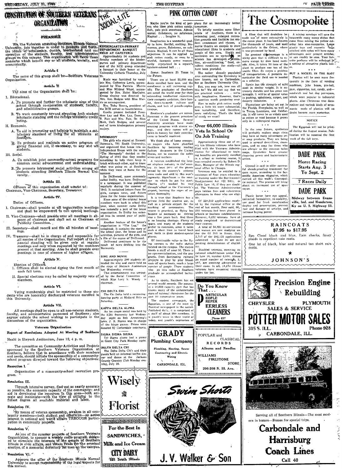# **CONSTITUTION OF SOUTHERN VETERANS** .<br>الهلاك **ORGANIZATION**

# **PRFAMBIE**

PRECAMBLE (1997) PRECAMBLE (1997) PRECAMBLE (1997) PRECAMBLE (1997) (1997) This control is the control of the statement of the statement of the statement of the statement of the statement of the statement of the statement

ne nam<br>Organization.

Article II The aims of the Organization shall be:

- 1. Educational.
	- A. To promote and further the scholastic ains of this school through co-operation of students, faculty, and administrative groups.
	- B. To work constantly toward slevating both student scholastic standing and the college scholastic credit rating.

### II. Economic.

- A. To aid in promoting and helping to maintain a satisfactory standard of living for all students at Southern.
- B. To promote and maintain an active program of giving financial aid, if *niecessary*, to any and all students.

### HI. Social.

- A. To establish joint community-school programs for common social advancement and understanding.
- B. To promote intramurial social activities among all students attending Southern Illinois Normal University.

### Article III.

Officers of this organization shall consist of:<br>Chairman, Vice-Chairman, Secretary, Treasurer.

# Article 4V.

Duties of Officers.

- I. Chairman-shall preside at all organization meetings<br>and shall be empowered to call special meetings.
- II. Vice-Chairman-Shall preside over all meetings in absence of chairman and shall act as Chairman of Publicity Committee.
- III. Secretary-shall record and file all minutes of meet-
- IV. Treasurer

- Election of Officers.<br>1. Officers shall be elected during the first month of each fall term.
- SING AND MOVIE<br>
Approximately 200 students attended the sing and movie held on<br>
the steeps of Shryock Auditorium<br>
last Wednesday evening.<br>
This entertainment was arrang-II. Special elections may be called by majority vote of  $\begin{bmatrix} ed & by & the & Social & \text{Commiteer} \\ which & Miss & Lucy & K. & Woody \end{bmatrix}$

## Article VI.

Voting membership shall be restricted to those stu-<br>s who are honorably discharged veterans enrolled in<br>University. **CHI DELTA CHI**<br>The Chi Delta held a swimming-<br>dancing party at Midland Hills on dents<br>this aturday.

### Article VII.

Article VII.<br>
All meetings shall be open to all non-veteran students.<br>
All meetings shall be pear on the method.<br>
faculty, and administrative personnel of Southern; also the RDA fractentix last wedge be staff of about 250

### Veterans Organization

Report of Resolutions Adopted At Meeting of Southern

### Heald in Shryock Auditorium, June 12, 4 p. m.

The committee on Community Activities and Projects<br>sponsored by the Southern Veterans Organization at The Delta Delta Chi's and their<br>sponsored by the Southern Veterans Organization at The Delta Delta Chi's and their<br>and n ner and dance at the Jackson<br>County Country Club Monday eve-<br>ning, July 29.

# Resoution I.

Organization of a community-school recreation program

## Resolution III.

Through intensive survey, find out as nearly accurate)<br>as possible, the economic capacity of the community: and<br>aid in developing the resources in this area—both ani-<br>mate and innimate—with the view of utilizing to the<br>fu

## Resolution IV.

For the means of veteran sponsorship, awaken in all community members—both student and officity ise—an active interest in national and world affairs THROUGH partici-<br>pation in community projects. SIC TELEVISION REPORTS OF

### Resolution V.

As one of the summer projects of Southern Veterians<br>Creatization, to sponsor a weekly radio program design-<br>Creatization, to sponsor a weekly radio program design-<br>ed to simulate the interests of the people of Southern<br>Ill on the campus.

### Resolution VI.

Approve the offer of the Southern Phinois Normal University to accept responsibility of the legal hapects for this project. 20212121313273131313131313

 $\mathcal{N}$ **SOCIAL** 

26.<br>
Music was furnished by vocalists Mrs. Catherine Lewis, accom-<br>
panied by Miss Patricin Mirrie<br>
mand Miss Mildred Wood, accom-<br>
and Miss Mildred Wood, accom-<br>
panied by Mrs. Mable Maculte.<br>
Strong singlet with Miss Mur

Fie as accompaniest.<br>The as accompaniest.<br>Mrs. Ruby Henry, president of<br>the XCE served as toastmistress. the ACE served as toastmisstress.<br>Guests present included President Lay and Mrs. Lay, Dean E.<br>R. Fair and Mrs. Fair, Dr. Sina<br>Mott, Juck Hedges, and several<br>out of town kindergarten primary

maiors.

### **NORMANDY**

NoFRANATORY<br>
The grifs who stayed at Emmett<br>
Norman's, 701 South University,<br>
2016 and organized that house into an<br>
1 and organized that house into an<br>  $\frac{1}{2}$  and organized that the name of the panel<br>
"The Normandy" de what was going on at Southern<br>while they were at home for the

Summer.<br>
So Driftwood, more commonly called Driftwood, more commonly<br>
is a newspaper. It was published<br>
regularly during the summer of<br>
regularly during the summer of<br>
1945. It contained letters from the<br>
gling, campus mev

onated by Carbondale merchants

Tri Sigma alums had a pienic<br>at Giant City Park Monday night.

Wiselv

Florist

For the Best In

SANDWICHES.

Milk and Ice Cream

**CITY DAIRY** 

'521 South Illinois

SIGMA SIGMA SIGMA

chairman

planes.

Of inestimalle value to the fly-<br>ing courses is the radio station<br>iocated on the campus. The station<br>boasts a staff of near 50. There is<br>to boasts a staff of near 50. There is<br>promoved the property property in the projects graduate as accomplished techni-.<br>niena

Frames As to sports, Southern has set<br>several world records. She possesses a 50,000 capacity gym that has<br>known many of the unforgettable stars of national champions for the

past 10 consecutive years. The student newspaper, the Egyptian, is one of the most in-<br>fluential newspapers in the nation.

Plumbing, Heating, Sewer

**GRADY Plumbing Company** 

Contracting and Electric<br>Wiring

CARBONDALE, ILL.



**THE ROYPIN N** 

Magical . . Imagine it. Imagination is a wonderful quality to have. Restful, exciting. Historian and the morous, grave. Substance, no sub-<br>stance. Magical, It can be all these

the Future.

tication.

stance. Magneal it can be at these applied to pink cotton candy, or even to a wistful, fantastic scene momentually in the train of the component can be composed to the proposed ball . . .

their energetic ambition, their hon

Southern's graduates are names

States, not to mention the noble

wives and mothers.

PINK COTTON CANDY

Of inestimable value to the flysubmitted

itv.



Disabled veterans, receiving v. cational rehabilitation unde

Do You Know<br>That . . .

POPULAR and

WILLIAMS

Swim Shorto

J.V. Walker & Son

ARTICULAR<br>EOPLE<br>REFER

**EERLESS** 

**CLEANERS** 

Phone 637

**RECORDS** 

Albums and Needles

**FIRESTONE** 

206-208 N. III. Ave.

 $\texttt{CLASSICAL}$ 

STORE

Maybe you're the kind of per-plans for an increasingly better<br>on who likes pink cotton candy, lomorrow.<br>Soft, pale pink sweetness. Almost To briefly mention some other<br>nreal. Substance, no substance, assets of Southern, th plans ....<br>
To briefly mention some other<br>
To briefly mention some other<br>
swimming pool, enlarged recrea-<br>
ition grounds and facilities for stu-<br>
international contract and chases, movie theatre on campus to show move theatre on campus to show that every chemical pole of this area. Health and sample of this area. Health and science has a proof-drom since  $\mathbf{z}$  and the science has developed.  $\mathbf{y}^T$  for this control of the ch

Scene: Southern 25 Years in The rather densely populated The rather densety population<br>area surrounding the University is<br>now known, not as Carbondale,<br>but as Southern University City.

the Future.<br>There are at least 25,000 stu-<br>dents enrolled here now, and the<br>enrollment is still increasing rap-<br>idly. The graduates of Southern<br>are noted the world over for their<br>astounding intellectual capacities,<br>the sta But, you may ask, how can all<br>this be? We did not say that we re practical writers. we're nt pricess "There" have been question worth pondering over est, down-to-earth culture and<br>charm, and lack of psuedo-sophis-

a question worth pondering over.<br>How to make pink cotton candy<br>even a little bit more substantial,<br>less tantallzing, and therefore,<br>more satisfying. That's the kind Soutern's graduates are names.<br>There are the present president of the United States. Several<br>chemistry scientists have made numerically progress with atomic en-<br>rergy, and their numerical will go above in the down in histo of candy we want!

## Over 66,000 Illinois Vets In School Or On Job Training

**OT OO TTATILITY**<br>Approximately three out of ev-<br>eye trailinois veterans who have<br>fitled with the Veterans Administration for educational or train-<br>implements are presently evoluted<br>in in a school or training course, it<br>ha We think also of home economics majors who have glorified<br>Southern by becoming leading<br>fashion designers in the United wives and mothers.<br>A veteran established the larg-<br>est airplane industry in the coun-<br>try. At least  $50\%$  of the planes<br>owned by the country's citizens<br>were made and sold by this man's<br>ingenuity. Significant is the man-<br> action.

Veterans may be entitled to a maximum of four years education<br>or training under the Servicenen's<br>Readjustment Act (G1 Bill), or<br>Public Law 16, if they are disabled.<br>The Veterans Administration<br>pays tuition fees and subsistence<br>allowances to those who ravon.

Plastic boxes have eye appeal,<br>unlimited formability, re-usability,<br>are good for fresh merchandise display and preservation, prevent rust and damage of articles, and increase buying power.

schools or business establishments.<br>However, 6,232 veterans have al-<br>ready completed or the<br>continued their courses.<br>A total of 56,931 ex-servicemen<br>and women are now studying un-<br>der the GI Bill in Binois. Only<br>continued submitted by June 30 are still<br>pending determination of eligibil-

s<br>Pub cational rehabilitation under Pub-<br>lie Law 16, number 3,990. Almost<br>an equal number of veterads, 3,-<br>087, are awaiting advisement on<br>their cases. In all, 18,194 Illinois<br>veterans have requested training<br>ander the law.

A mixing envelope will save the bouncement was dished to the come from mixing the yellow column in the other comes that only the contract of the state of the state of the state of the state of the state of the state of the A fiber that will doubless be<br>made use of more extensively is<br>the ramic plant. It has been known<br>for thousands of years, and used<br>particularly in the Orient, where<br>it was processed by hand. plastic toys and cosmetic bags

as a solution.

as a solution.<br>
Ramie has the strength of mild<br>
steel in similar weight. It is ex-<br>
tremely durable and has great wet<br>
strength, It will be of special value<br>
in packing, upholstery, carpet, and<br>
drapery industries.

In the near future, synthetics<br>will probably replace soaps since<br>they have so many advantages over<br>free soap products. They are being<br>used in several dentrifices, share-<br>poos, and as soap for those who<br>poos, and as soap fo

 $\sim$   $\sim$   $\sim$ 

coats.

**CHRYSLER** 

315 S. ILL.

it was processed by hand. I stirched with ny<br>blue maps over present articles, sticky can be absoluted as a ladvantage<br>is a parameter of the control move except by show hand meth-orite performs with each<br>move except by slo

<u>प्य PACE ग्रामिलिके</u>

quently in the form of vending machines, juke boxes, pin-ball gum, eigarettes, nut, candy, and--sandwich and hot dog purveyors which were popular in industrial

The Cosmopolite

plants. Also Christinas tree decodrapery industries.<br>Thantations are being set out in<br>the Florida Everglades, as well as<br>in Texas, Louislann, and Califor-<br>nia. It will never be so widely used<br>us cotton or wool because it grows<br>only in a subtropical region rations and various kinds of ornaments made of plastics will no doubt become more numerous.

 $\sim$   $\sim$   $\sim$ 

The Egyptian will not be printed during the August session. Publication will be resumed the first wook of the foll term

**NOTICE** 

**DADE PARK** Horse Racing Starts Aug. 3

To Sept. 2 7 Races Daily

DADE PARK

Midway between Evans-<br>ville, Ind. and Henderson, Ky on U.S. Highway 51.

**RAINCOATS** \$7.95 to \$17.95 Sun Cloud black and blue, Rain checks, fancy plaids in repellent rain coats.

One lot of black, blue and natural tan short rain

JOHNSON'S

**SALES & SERVICE** 

POTTER MOTOR SALES

CARBONDALE, ILL.

 $\frac{1}{1}$ 

ern in busses-Busses for special trips.

Precision Engine

**PLYMOUTH** 

Phone 928

 $\vee$  Rebuilding

第一天的 四

Serving all of Southern Illinois-The most mod-

Carbondale and

Harrisburg

**Coach Lines** 

Call 40

٦